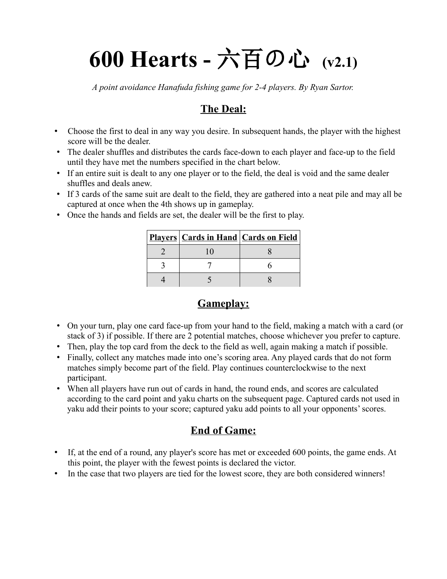# **600 Hearts -** 六百の心 **(v2.1)**

*A point avoidance Hanafuda fishing game for 2-4 players. By Ryan Sartor.*

### **The Deal:**

- Choose the first to deal in any way you desire. In subsequent hands, the player with the highest score will be the dealer.
- The dealer shuffles and distributes the cards face-down to each player and face-up to the field until they have met the numbers specified in the chart below.
- If an entire suit is dealt to any one player or to the field, the deal is void and the same dealer shuffles and deals anew.
- If 3 cards of the same suit are dealt to the field, they are gathered into a neat pile and may all be captured at once when the 4th shows up in gameplay.
- Once the hands and fields are set, the dealer will be the first to play.

| <b>Players Cards in Hand Cards on Field</b> |  |
|---------------------------------------------|--|
|                                             |  |
|                                             |  |
|                                             |  |

# **Gameplay:**

- On your turn, play one card face-up from your hand to the field, making a match with a card (or stack of 3) if possible. If there are 2 potential matches, choose whichever you prefer to capture.
- Then, play the top card from the deck to the field as well, again making a match if possible.
- Finally, collect any matches made into one's scoring area. Any played cards that do not form matches simply become part of the field. Play continues counterclockwise to the next participant.
- When all players have run out of cards in hand, the round ends, and scores are calculated according to the card point and yaku charts on the subsequent page. Captured cards not used in yaku add their points to your score; captured yaku add points to all your opponents' scores.

# **End of Game:**

- If, at the end of a round, any player's score has met or exceeded 600 points, the game ends. At this point, the player with the fewest points is declared the victor.
- In the case that two players are tied for the lowest score, they are both considered winners!